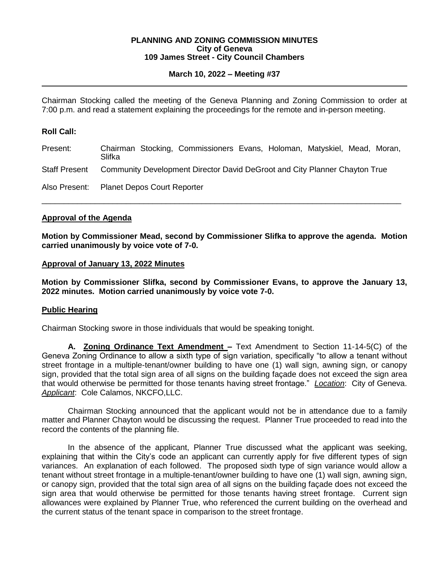#### **PLANNING AND ZONING COMMISSION MINUTES City of Geneva 109 James Street - City Council Chambers**

# **March 10, 2022 – Meeting #37**

Chairman Stocking called the meeting of the Geneva Planning and Zoning Commission to order at 7:00 p.m. and read a statement explaining the proceedings for the remote and in-person meeting.

# **Roll Call:**

| Present:                                  | Slifka                                                                     |  | Chairman Stocking, Commissioners Evans, Holoman, Matyskiel, Mead, Moran, |  |  |  |  |  |
|-------------------------------------------|----------------------------------------------------------------------------|--|--------------------------------------------------------------------------|--|--|--|--|--|
| Staff Present                             | Community Development Director David DeGroot and City Planner Chayton True |  |                                                                          |  |  |  |  |  |
| Also Present: Planet Depos Court Reporter |                                                                            |  |                                                                          |  |  |  |  |  |

\_\_\_\_\_\_\_\_\_\_\_\_\_\_\_\_\_\_\_\_\_\_\_\_\_\_\_\_\_\_\_\_\_\_\_\_\_\_\_\_\_\_\_\_\_\_\_\_\_\_\_\_\_\_\_\_\_\_\_\_\_\_\_\_\_\_\_\_\_\_\_\_\_\_\_\_\_\_\_\_\_

## **Approval of the Agenda**

**Motion by Commissioner Mead, second by Commissioner Slifka to approve the agenda. Motion carried unanimously by voice vote of 7-0.**

#### **Approval of January 13, 2022 Minutes**

**Motion by Commissioner Slifka, second by Commissioner Evans, to approve the January 13, 2022 minutes. Motion carried unanimously by voice vote 7-0.** 

#### **Public Hearing**

Chairman Stocking swore in those individuals that would be speaking tonight.

**A. Zoning Ordinance Text Amendment –** Text Amendment to Section 11-14-5(C) of the Geneva Zoning Ordinance to allow a sixth type of sign variation, specifically "to allow a tenant without street frontage in a multiple-tenant/owner building to have one (1) wall sign, awning sign, or canopy sign, provided that the total sign area of all signs on the building façade does not exceed the sign area that would otherwise be permitted for those tenants having street frontage." *Location*: City of Geneva. *Applicant*: Cole Calamos, NKCFO,LLC.

Chairman Stocking announced that the applicant would not be in attendance due to a family matter and Planner Chayton would be discussing the request. Planner True proceeded to read into the record the contents of the planning file.

In the absence of the applicant, Planner True discussed what the applicant was seeking, explaining that within the City's code an applicant can currently apply for five different types of sign variances. An explanation of each followed. The proposed sixth type of sign variance would allow a tenant without street frontage in a multiple-tenant/owner building to have one (1) wall sign, awning sign, or canopy sign, provided that the total sign area of all signs on the building façade does not exceed the sign area that would otherwise be permitted for those tenants having street frontage. Current sign allowances were explained by Planner True, who referenced the current building on the overhead and the current status of the tenant space in comparison to the street frontage.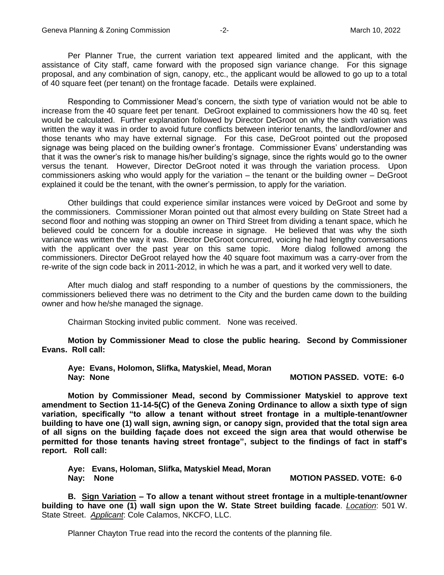Per Planner True, the current variation text appeared limited and the applicant, with the assistance of City staff, came forward with the proposed sign variance change. For this signage proposal, and any combination of sign, canopy, etc., the applicant would be allowed to go up to a total of 40 square feet (per tenant) on the frontage facade. Details were explained.

Responding to Commissioner Mead's concern, the sixth type of variation would not be able to increase from the 40 square feet per tenant. DeGroot explained to commissioners how the 40 sq. feet would be calculated. Further explanation followed by Director DeGroot on why the sixth variation was written the way it was in order to avoid future conflicts between interior tenants, the landlord/owner and those tenants who may have external signage. For this case, DeGroot pointed out the proposed signage was being placed on the building owner's frontage. Commissioner Evans' understanding was that it was the owner's risk to manage his/her building's signage, since the rights would go to the owner versus the tenant. However, Director DeGroot noted it was through the variation process. Upon commissioners asking who would apply for the variation – the tenant or the building owner – DeGroot explained it could be the tenant, with the owner's permission, to apply for the variation.

Other buildings that could experience similar instances were voiced by DeGroot and some by the commissioners. Commissioner Moran pointed out that almost every building on State Street had a second floor and nothing was stopping an owner on Third Street from dividing a tenant space, which he believed could be concern for a double increase in signage. He believed that was why the sixth variance was written the way it was. Director DeGroot concurred, voicing he had lengthy conversations with the applicant over the past year on this same topic. More dialog followed among the commissioners. Director DeGroot relayed how the 40 square foot maximum was a carry-over from the re-write of the sign code back in 2011-2012, in which he was a part, and it worked very well to date.

After much dialog and staff responding to a number of questions by the commissioners, the commissioners believed there was no detriment to the City and the burden came down to the building owner and how he/she managed the signage.

Chairman Stocking invited public comment. None was received.

**Motion by Commissioner Mead to close the public hearing. Second by Commissioner Evans. Roll call:** 

**Aye: Evans, Holomon, Slifka, Matyskiel, Mead, Moran Nay: None MOTION PASSED. VOTE: 6-0** 

**Motion by Commissioner Mead, second by Commissioner Matyskiel to approve text amendment to Section 11-14-5(C) of the Geneva Zoning Ordinance to allow a sixth type of sign variation, specifically "to allow a tenant without street frontage in a multiple-tenant/owner building to have one (1) wall sign, awning sign, or canopy sign, provided that the total sign area of all signs on the building façade does not exceed the sign area that would otherwise be permitted for those tenants having street frontage", subject to the findings of fact in staff's report. Roll call:** 

**Aye: Evans, Holoman, Slifka, Matyskiel Mead, Moran Nay: None MOTION PASSED. VOTE: 6-0** 

**B. Sign Variation – To allow a tenant without street frontage in a multiple-tenant/owner building to have one (1) wall sign upon the W. State Street building facade**. *Location*: 501 W. State Street. *Applicant*: Cole Calamos, NKCFO, LLC.

Planner Chayton True read into the record the contents of the planning file.